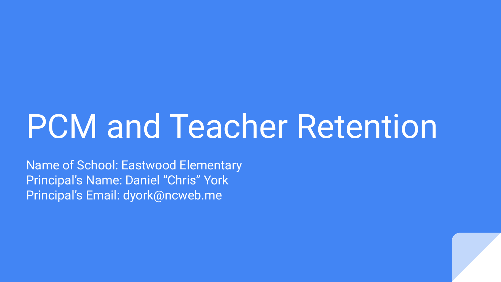# PCM and Teacher Retention

Name of School: Eastwood Elementary Principal's Name: Daniel "Chris" York Principal's Email: dyork@ncweb.me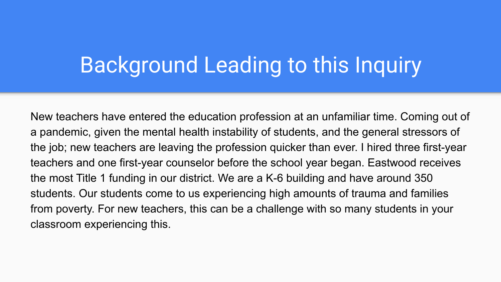#### Background Leading to this Inquiry

New teachers have entered the education profession at an unfamiliar time. Coming out of a pandemic, given the mental health instability of students, and the general stressors of the job; new teachers are leaving the profession quicker than ever. I hired three first-year teachers and one first-year counselor before the school year began. Eastwood receives the most Title 1 funding in our district. We are a K-6 building and have around 350 students. Our students come to us experiencing high amounts of trauma and families from poverty. For new teachers, this can be a challenge with so many students in your classroom experiencing this.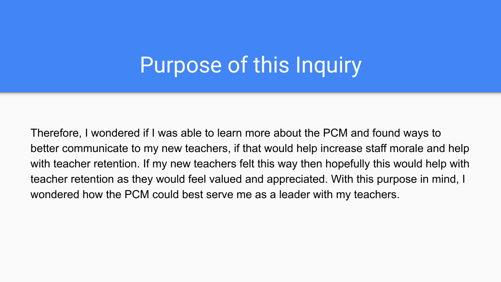#### Purpose of this Inquiry

Therefore, I wondered if I was able to learn more about the PCM and found ways to better communicate to my new teachers, if that would help increase staff morale and help with teacher retention. If my new teachers felt this way then hopefully this would help with teacher retention as they would feel valued and appreciated. With this purpose in mind, I wondered how the PCM could best serve me as a leader with my teachers.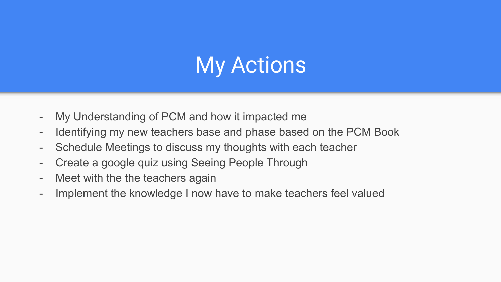# My Actions

- My Understanding of PCM and how it impacted me
- Identifying my new teachers base and phase based on the PCM Book
- Schedule Meetings to discuss my thoughts with each teacher
- Create a google quiz using Seeing People Through
- Meet with the the teachers again
- Implement the knowledge I now have to make teachers feel valued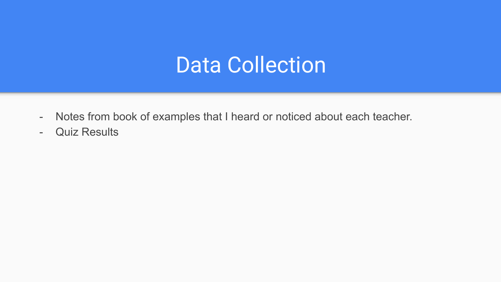#### Data Collection

- Notes from book of examples that I heard or noticed about each teacher.
- Quiz Results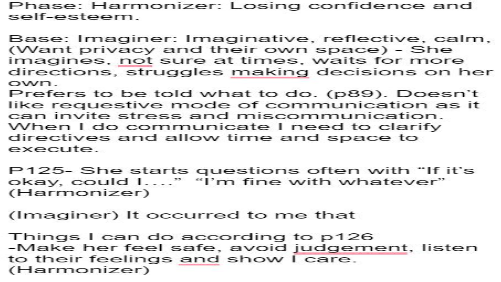Phase: Harmonizer: Losing confidence and self-esteem.

- Base: Imaginer: Imaginative, reflective, calm, (Want privacy and their own space) - She imagines, not sure at times, waits for more directions, struggles making decisions on her own.
- Prefers to be told what to do. (p89). Doesn't like requestive mode of communication as it can invite stress and miscommunication. When I do communicate I need to clarify directives and allow time and space to execute.
- P125- She starts questions often with "If it's okay, could I...." "I'm fine with whatever" (Harmonizer)
- (Imaginer) It occurred to me that
- Things I can do according to p126 -Make her feel safe, avoid judgement, listen to their feelings and show I care. (Harmonizer)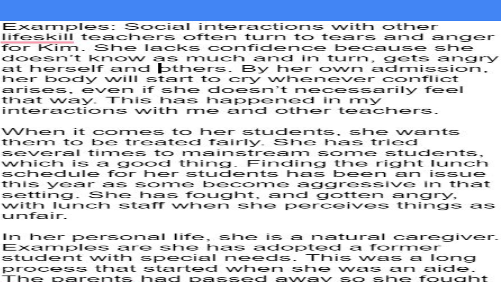Examples: Social interactions with other lifeskill teachers often turn to tears and anger for Kim. She lacks confidence because she doesn't know as much and in turn, gets angry at herself and others. By her own admission, her body will start to cry whenever conflict arises, even if she doesn't necessarily feel that way. This has happened in my interactions with me and other teachers.

When it comes to her students, she wants them to be treated fairly. She has tried several times to mainstream some students, which is a good thing. Finding the right lunch schedule for her students has been an issue this year as some become aggressive in that setting. She has fought, and gotten angry, with lunch staff when she perceives things as unfair.

In her personal life, she is a natural caregiver. Examples are she has adopted a former student with special needs. This was a long process that started when she was an aide. The parents had passed away so she fought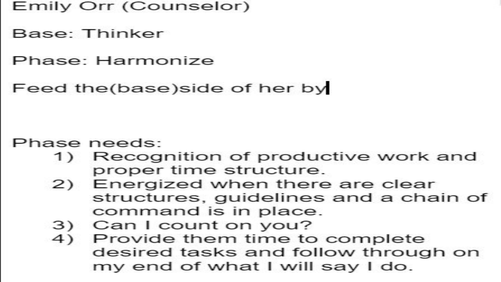#### Emily Orr (Counselor)

Base: Thinker

Phase: Harmonize

Feed the(base) side of her by

Phase needs:

- Recognition of productive work and  $\left( \begin{array}{c} 1 \end{array} \right)$ proper time structure.
- 2) Energized when there are clear structures, quidelines and a chain of command is in place.
- 3) Can I count on you?
- Provide them time to complete 4) desired tasks and follow through on my end of what I will say I do.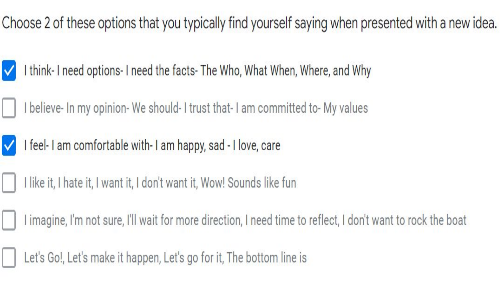Choose 2 of these options that you typically find yourself saying when presented with a new idea.

I think- I need options- I need the facts- The Who, What When, Where, and Why  $\checkmark$ 

I believe- In my opinion- We should- I trust that- I am committed to- My values



I feel-I am comfortable with-I am happy, sad - I love, care

I like it, I hate it, I want it, I don't want it, Wow! Sounds like fun

I imagine, I'm not sure, I'll wait for more direction, I need time to reflect, I don't want to rock the boat

Let's Go!, Let's make it happen, Let's go for it, The bottom line is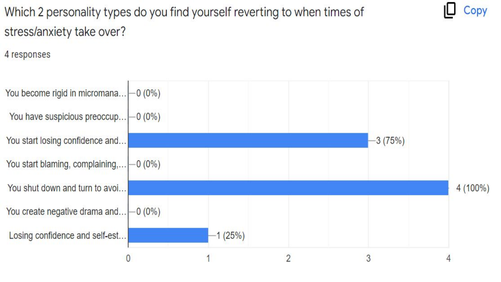Which 2 personality types do you find yourself reverting to when times of stress/anxiety take over?

Copy

4 responses

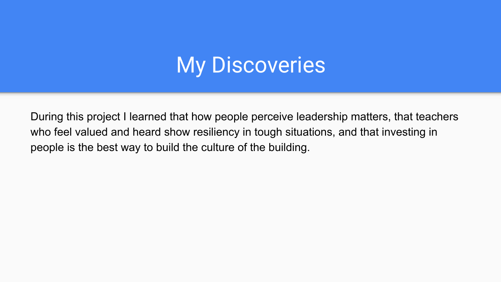### **My Discoveries**

During this project I learned that how people perceive leadership matters, that teachers who feel valued and heard show resiliency in tough situations, and that investing in people is the best way to build the culture of the building.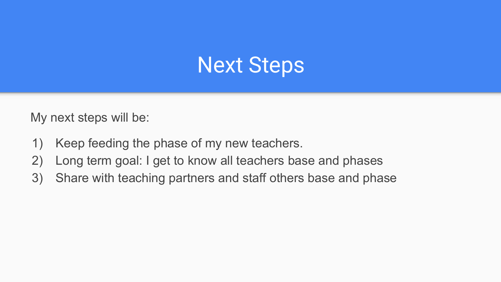### Next Steps

My next steps will be:

- 1) Keep feeding the phase of my new teachers.
- 2) Long term goal: I get to know all teachers base and phases
- 3) Share with teaching partners and staff others base and phase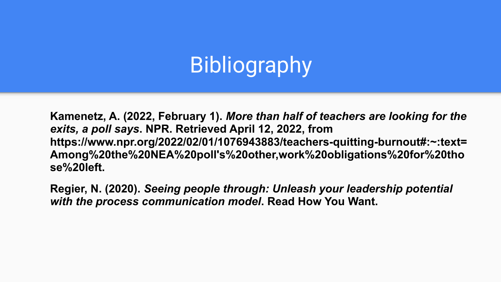# **Bibliography**

**Kamenetz, A. (2022, February 1).** *More than half of teachers are looking for the exits, a poll says***. NPR. Retrieved April 12, 2022, from https://www.npr.org/2022/02/01/1076943883/teachers-quitting-burnout#:~:text= Among%20the%20NEA%20poll's%20other,work%20obligations%20for%20tho se%20left.** 

**Regier, N. (2020).** *Seeing people through: Unleash your leadership potential with the process communication model***. Read How You Want.**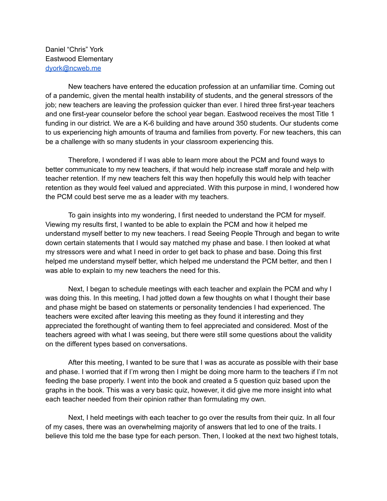Daniel "Chris" York Eastwood Elementary [dyork@ncweb.me](mailto:dyork@ncweb.me)

New teachers have entered the education profession at an unfamiliar time. Coming out of a pandemic, given the mental health instability of students, and the general stressors of the job; new teachers are leaving the profession quicker than ever. I hired three first-year teachers and one first-year counselor before the school year began. Eastwood receives the most Title 1 funding in our district. We are a K-6 building and have around 350 students. Our students come to us experiencing high amounts of trauma and families from poverty. For new teachers, this can be a challenge with so many students in your classroom experiencing this.

Therefore, I wondered if I was able to learn more about the PCM and found ways to better communicate to my new teachers, if that would help increase staff morale and help with teacher retention. If my new teachers felt this way then hopefully this would help with teacher retention as they would feel valued and appreciated. With this purpose in mind, I wondered how the PCM could best serve me as a leader with my teachers.

To gain insights into my wondering, I first needed to understand the PCM for myself. Viewing my results first, I wanted to be able to explain the PCM and how it helped me understand myself better to my new teachers. I read Seeing People Through and began to write down certain statements that I would say matched my phase and base. I then looked at what my stressors were and what I need in order to get back to phase and base. Doing this first helped me understand myself better, which helped me understand the PCM better, and then I was able to explain to my new teachers the need for this.

Next, I began to schedule meetings with each teacher and explain the PCM and why I was doing this. In this meeting, I had jotted down a few thoughts on what I thought their base and phase might be based on statements or personality tendencies I had experienced. The teachers were excited after leaving this meeting as they found it interesting and they appreciated the forethought of wanting them to feel appreciated and considered. Most of the teachers agreed with what I was seeing, but there were still some questions about the validity on the different types based on conversations.

After this meeting, I wanted to be sure that I was as accurate as possible with their base and phase. I worried that if I'm wrong then I might be doing more harm to the teachers if I'm not feeding the base properly. I went into the book and created a 5 question quiz based upon the graphs in the book. This was a very basic quiz, however, it did give me more insight into what each teacher needed from their opinion rather than formulating my own.

Next, I held meetings with each teacher to go over the results from their quiz. In all four of my cases, there was an overwhelming majority of answers that led to one of the traits. I believe this told me the base type for each person. Then, I looked at the next two highest totals,